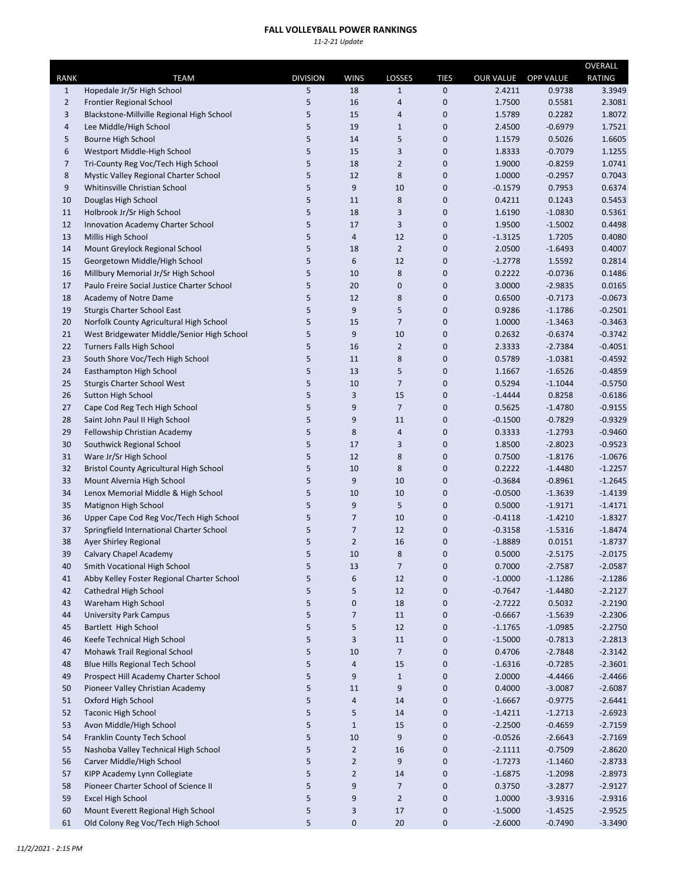## **FALL VOLLEYBALL POWER RANKINGS**

*11‐2‐21 Update*

|                |                                                                   |                 |                |                |             |                        |                  | OVERALL                |
|----------------|-------------------------------------------------------------------|-----------------|----------------|----------------|-------------|------------------------|------------------|------------------------|
| RANK           | <b>TEAM</b>                                                       | <b>DIVISION</b> | <b>WINS</b>    | LOSSES         | <b>TIES</b> | <b>OUR VALUE</b>       | <b>OPP VALUE</b> | RATING                 |
| $\mathbf{1}$   | Hopedale Jr/Sr High School                                        | 5               | 18             | $1\,$          | 0           | 2.4211                 | 0.9738           | 3.3949                 |
| 2              | <b>Frontier Regional School</b>                                   | 5               | 16             | 4              | 0           | 1.7500                 | 0.5581           | 2.3081                 |
| 3              | Blackstone-Millville Regional High School                         | 5               | 15             | 4              | 0           | 1.5789                 | 0.2282           | 1.8072                 |
| 4              | Lee Middle/High School                                            | 5               | 19             | $\mathbf{1}$   | 0           | 2.4500                 | $-0.6979$        | 1.7521                 |
| 5              | Bourne High School                                                | 5               | 14             | 5              | 0           | 1.1579                 | 0.5026           | 1.6605                 |
| 6              | Westport Middle-High School                                       | 5               | 15             | 3              | 0           | 1.8333                 | $-0.7079$        | 1.1255                 |
| $\overline{7}$ | Tri-County Reg Voc/Tech High School                               | 5               | 18             | $\overline{2}$ | 0           | 1.9000                 | $-0.8259$        | 1.0741                 |
| 8              | Mystic Valley Regional Charter School                             | 5               | 12             | 8              | 0           | 1.0000                 | $-0.2957$        | 0.7043                 |
| 9              | Whitinsville Christian School                                     | 5               | 9              | 10             | 0           | $-0.1579$              | 0.7953           | 0.6374                 |
| 10             | Douglas High School                                               | 5               | 11             | 8              | 0           | 0.4211                 | 0.1243           | 0.5453                 |
| 11             | Holbrook Jr/Sr High School                                        | 5               | 18             | 3              | 0           | 1.6190                 | $-1.0830$        | 0.5361                 |
| 12             | Innovation Academy Charter School                                 | 5               | 17             | 3              | 0           | 1.9500                 | $-1.5002$        | 0.4498                 |
| 13             | Millis High School                                                | 5               | $\overline{4}$ | 12             | 0           | $-1.3125$              | 1.7205           | 0.4080                 |
| 14             | Mount Greylock Regional School                                    | 5               | 18             | $\overline{2}$ | 0           | 2.0500                 | $-1.6493$        | 0.4007                 |
| 15             | Georgetown Middle/High School                                     | 5               | 6              | 12             | 0           | $-1.2778$              | 1.5592           | 0.2814                 |
| 16             | Millbury Memorial Jr/Sr High School                               | 5               | 10             | 8              | 0           | 0.2222                 | $-0.0736$        | 0.1486                 |
| 17             | Paulo Freire Social Justice Charter School                        | 5               | 20             | 0              | 0           | 3.0000                 | $-2.9835$        | 0.0165                 |
| 18             | Academy of Notre Dame                                             | 5               | 12             | 8              | 0           | 0.6500                 | $-0.7173$        | $-0.0673$              |
| 19             | Sturgis Charter School East                                       | 5               | 9              | 5              | 0           | 0.9286                 | $-1.1786$        | $-0.2501$              |
| 20             | Norfolk County Agricultural High School                           | 5               | 15             | 7              | 0           | 1.0000                 | $-1.3463$        | $-0.3463$              |
| 21             | West Bridgewater Middle/Senior High School                        | 5               | 9              | 10             | 0           | 0.2632                 | $-0.6374$        | $-0.3742$              |
| 22             | <b>Turners Falls High School</b>                                  | 5               | 16             | $\overline{2}$ | 0           | 2.3333                 | $-2.7384$        | $-0.4051$              |
| 23             | South Shore Voc/Tech High School                                  | 5               | 11             | 8              | 0           | 0.5789                 | $-1.0381$        | $-0.4592$              |
| 24             | Easthampton High School                                           | 5               | 13             | 5              | 0           | 1.1667                 | $-1.6526$        | $-0.4859$              |
| 25             | <b>Sturgis Charter School West</b>                                | 5               | 10             | $\overline{7}$ | 0           | 0.5294                 | $-1.1044$        | $-0.5750$              |
| 26             | <b>Sutton High School</b>                                         | 5               | 3              | 15             | 0           | $-1.4444$              | 0.8258           | $-0.6186$              |
| 27             | Cape Cod Reg Tech High School                                     | 5               | 9              | $\overline{7}$ | 0           | 0.5625                 | $-1.4780$        | $-0.9155$              |
| 28             | Saint John Paul II High School                                    | 5               | 9              | 11             | 0           | $-0.1500$              | $-0.7829$        | $-0.9329$              |
| 29             | Fellowship Christian Academy                                      | 5               | 8              | 4              | 0           | 0.3333                 | $-1.2793$        | $-0.9460$              |
| 30             | Southwick Regional School                                         | 5               | 17             | 3              | 0           | 1.8500                 | $-2.8023$        | $-0.9523$              |
| 31             | Ware Jr/Sr High School                                            | 5               | 12             | 8              | 0           | 0.7500                 | $-1.8176$        | $-1.0676$              |
| 32             | <b>Bristol County Agricultural High School</b>                    | 5               | 10             | 8              | 0           | 0.2222                 | $-1.4480$        | $-1.2257$              |
| 33             | Mount Alvernia High School                                        | 5               | 9              | 10             | 0           | $-0.3684$              | $-0.8961$        | $-1.2645$              |
| 34             | Lenox Memorial Middle & High School                               | 5               | 10             | 10             | 0           | $-0.0500$              | $-1.3639$        | $-1.4139$              |
| 35             | Matignon High School                                              | 5               | 9              | 5              | 0           | 0.5000                 | $-1.9171$        | $-1.4171$              |
| 36             | Upper Cape Cod Reg Voc/Tech High School                           | 5               | $\overline{7}$ | 10             | 0           | -0.4118                | $-1.4210$        | $-1.8327$              |
| 37             | Springfield International Charter School                          | 5               | $\overline{7}$ | 12             | 0           | $-0.3158$              | $-1.5316$        | $-1.8474$              |
| 38             | <b>Ayer Shirley Regional</b>                                      | 5               | $\overline{2}$ | 16             | 0           | $-1.8889$              | 0.0151           | $-1.8737$              |
| 39             | Calvary Chapel Academy                                            | 5               | 10             | 8              | 0           | 0.5000                 | $-2.5175$        | $-2.0175$              |
| 40             | Smith Vocational High School                                      | 5               | 13             | $\overline{7}$ | 0           | 0.7000                 | $-2.7587$        | $-2.0587$              |
| 41             | Abby Kelley Foster Regional Charter School                        | 5               | 6              | 12             | 0           | $-1.0000$              | $-1.1286$        | $-2.1286$              |
| 42             | Cathedral High School                                             | 5               | 5              | 12             | 0           | $-0.7647$              | $-1.4480$        | $-2.2127$              |
| 43             | Wareham High School                                               | 5               | $\mathbf 0$    | 18             | 0           | $-2.7222$              | 0.5032           | $-2.2190$              |
| 44             | <b>University Park Campus</b>                                     | 5               | $\overline{7}$ | 11             | 0           | $-0.6667$              | $-1.5639$        | $-2.2306$              |
| 45             | Bartlett High School                                              | 5               | 5              | 12             | 0           | $-1.1765$              | $-1.0985$        | $-2.2750$              |
| 46             | Keefe Technical High School                                       | 5               | 3              | 11             | 0           | $-1.5000$              | $-0.7813$        | $-2.2813$              |
| 47             | Mohawk Trail Regional School                                      | 5               | 10             | 7              | 0           | 0.4706                 | $-2.7848$        | $-2.3142$              |
| 48             | <b>Blue Hills Regional Tech School</b>                            | 5               | $\sqrt{4}$     | 15             | 0           | $-1.6316$              | $-0.7285$        | $-2.3601$              |
| 49             | Prospect Hill Academy Charter School                              | 5               | 9              | $\mathbf{1}$   | 0           | 2.0000                 | $-4.4466$        | $-2.4466$              |
| 50             | Pioneer Valley Christian Academy                                  | 5               | 11             | 9              | $\mathbf 0$ | 0.4000                 | $-3.0087$        | $-2.6087$              |
| 51             | Oxford High School                                                | 5               | $\overline{a}$ | 14             | 0           | $-1.6667$              | $-0.9775$        | $-2.6441$              |
| 52             | <b>Taconic High School</b>                                        | 5               | 5              | 14             | 0           | $-1.4211$              | $-1.2713$        | $-2.6923$              |
| 53             | Avon Middle/High School                                           | 5               | $\mathbf{1}$   | 15             | 0           | $-2.2500$              | $-0.4659$        | $-2.7159$              |
| 54             | Franklin County Tech School                                       | 5               | 10             | 9              | 0           | $-0.0526$              | $-2.6643$        | $-2.7169$              |
|                |                                                                   |                 | $\overline{2}$ |                |             |                        |                  |                        |
| 55<br>56       | Nashoba Valley Technical High School<br>Carver Middle/High School | 5<br>5          | $\overline{2}$ | 16<br>9        | 0<br>0      | $-2.1111$<br>$-1.7273$ | $-0.7509$        | $-2.8620$<br>$-2.8733$ |
|                |                                                                   |                 |                |                |             |                        | $-1.1460$        |                        |
| 57             | KIPP Academy Lynn Collegiate                                      | 5               | $\overline{2}$ | 14             | 0           | $-1.6875$              | $-1.2098$        | $-2.8973$              |
| 58             | Pioneer Charter School of Science II                              | 5               | 9              | 7              | 0           | 0.3750                 | $-3.2877$        | $-2.9127$              |
| 59             | Excel High School                                                 | 5               | 9              | $\overline{2}$ | 0           | 1.0000                 | $-3.9316$        | $-2.9316$              |
| 60             | Mount Everett Regional High School                                | 5               | 3              | 17             | $\pmb{0}$   | $-1.5000$              | $-1.4525$        | $-2.9525$              |
| 61             | Old Colony Reg Voc/Tech High School                               | 5               | 0              | 20             | 0           | $-2.6000$              | $-0.7490$        | $-3.3490$              |